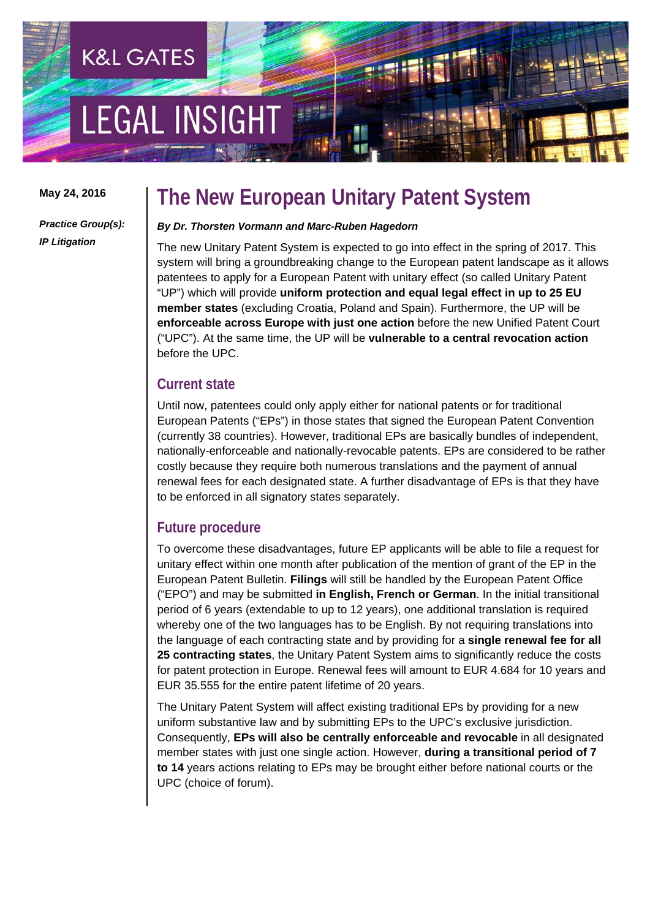# **LEGAL INSIGH**

**K&L GATES** 

**May 24, 2016** 

### **The New European Unitary Patent System**

*Practice Group(s): IP Litigation* 

#### *By Dr. Thorsten Vormann and Marc-Ruben Hagedorn*

The new Unitary Patent System is expected to go into effect in the spring of 2017. This system will bring a groundbreaking change to the European patent landscape as it allows patentees to apply for a European Patent with unitary effect (so called Unitary Patent "UP") which will provide **uniform protection and equal legal effect in up to 25 EU member states** (excluding Croatia, Poland and Spain). Furthermore, the UP will be **enforceable across Europe with just one action** before the new Unified Patent Court ("UPC"). At the same time, the UP will be **vulnerable to a central revocation action** before the UPC.

### **Current state**

Until now, patentees could only apply either for national patents or for traditional European Patents ("EPs") in those states that signed the European Patent Convention (currently 38 countries). However, traditional EPs are basically bundles of independent, nationally-enforceable and nationally-revocable patents. EPs are considered to be rather costly because they require both numerous translations and the payment of annual renewal fees for each designated state. A further disadvantage of EPs is that they have to be enforced in all signatory states separately.

### **Future procedure**

To overcome these disadvantages, future EP applicants will be able to file a request for unitary effect within one month after publication of the mention of grant of the EP in the European Patent Bulletin. **Filings** will still be handled by the European Patent Office ("EPO") and may be submitted **in English, French or German**. In the initial transitional period of 6 years (extendable to up to 12 years), one additional translation is required whereby one of the two languages has to be English. By not requiring translations into the language of each contracting state and by providing for a **single renewal fee for all 25 contracting states**, the Unitary Patent System aims to significantly reduce the costs for patent protection in Europe. Renewal fees will amount to EUR 4.684 for 10 years and EUR 35.555 for the entire patent lifetime of 20 years.

The Unitary Patent System will affect existing traditional EPs by providing for a new uniform substantive law and by submitting EPs to the UPC's exclusive jurisdiction. Consequently, **EPs will also be centrally enforceable and revocable** in all designated member states with just one single action. However, **during a transitional period of 7 to 14** years actions relating to EPs may be brought either before national courts or the UPC (choice of forum).